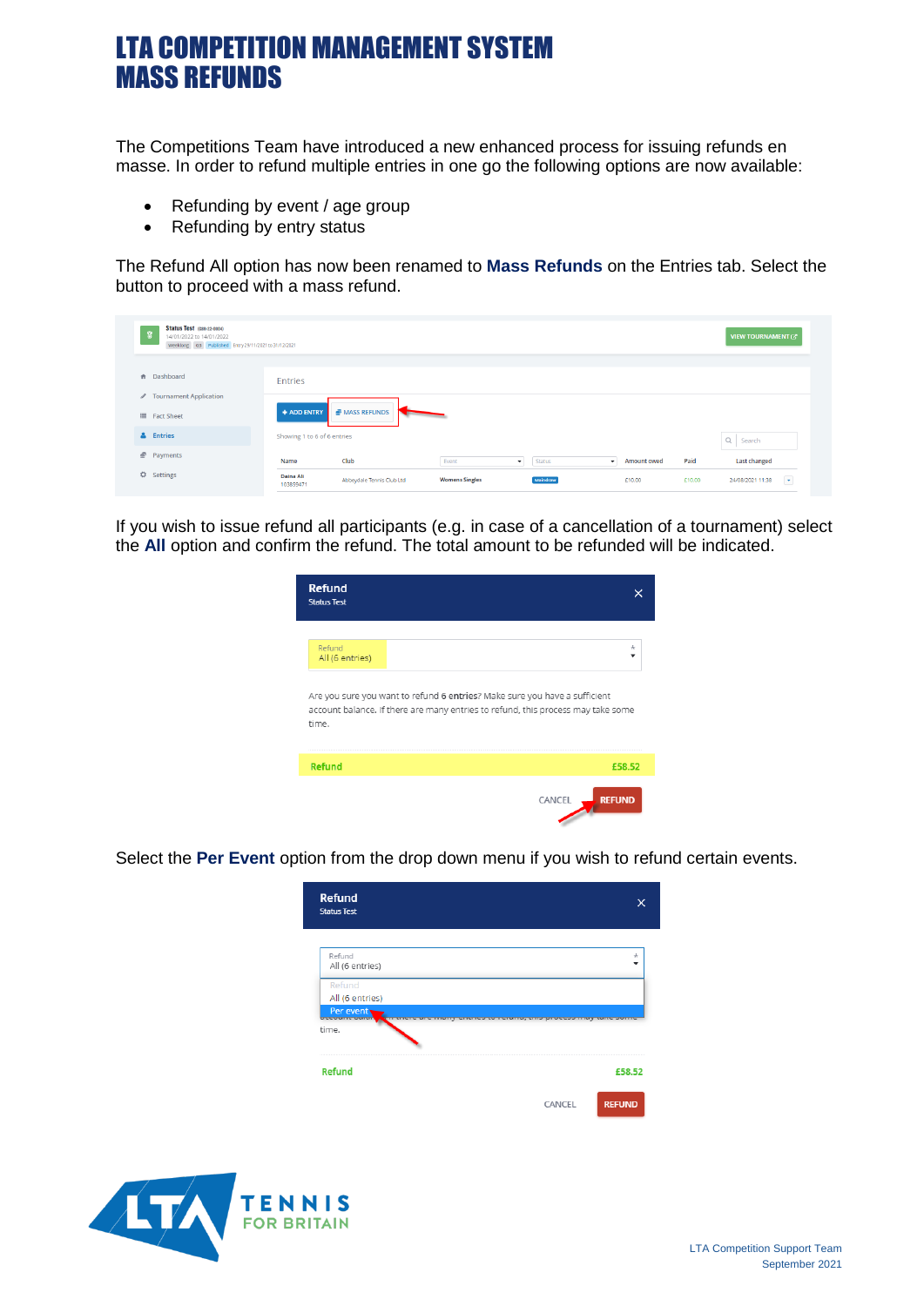The Competitions Team have introduced a new enhanced process for issuing refunds en masse. In order to refund multiple entries in one go the following options are now available:

- Refunding by event / age group
- Refunding by entry status

The Refund All option has now been renamed to **Mass Refunds** on the Entries tab. Select the button to proceed with a mass refund.

| Status Test (GBR-22-0004)<br>14/01/2022 to 14/01/2022<br>Weeklong G3 Published Entry 29/11/2021 to 31/12/2021 |                               |                           |                       |                     |                       |        | VIEW TOURNAMENT &                            |
|---------------------------------------------------------------------------------------------------------------|-------------------------------|---------------------------|-----------------------|---------------------|-----------------------|--------|----------------------------------------------|
| <b>A</b> Dashboard                                                                                            | <b>Entries</b>                |                           |                       |                     |                       |        |                                              |
| <b>∕</b> Tournament Application<br>Fact Sheet                                                                 | + ADD ENTRY                   | <b>MASS REFUNDS</b>       |                       |                     |                       |        |                                              |
| & Entries                                                                                                     | Showing 1 to 6 of 6 entries   |                           |                       |                     |                       |        | Q Search                                     |
| Payments                                                                                                      | Name                          | Club                      | Event                 | Status<br>$\bullet$ | Amount owed<br>$\sim$ | Paid   | Last changed                                 |
| ☆<br>Settings                                                                                                 | <b>Daina Ali</b><br>103859471 | Abbeydale Tennis Club Ltd | <b>Womens Singles</b> | Maindraw            | £10.00                | £10.00 | $\overline{\phantom{a}}$<br>24/08/2021 11:38 |

If you wish to issue refund all participants (e.g. in case of a cancellation of a tournament) select the **All** option and confirm the refund. The total amount to be refunded will be indicated.

| <b>Refund</b><br><b>Status Test</b>                                                                                                                                     |                         |
|-------------------------------------------------------------------------------------------------------------------------------------------------------------------------|-------------------------|
| Refund<br>All (6 entries)                                                                                                                                               | ÷                       |
| Are you sure you want to refund 6 entries? Make sure you have a sufficient<br>account balance. If there are many entries to refund, this process may take some<br>time. |                         |
| Refund                                                                                                                                                                  | £58.52                  |
|                                                                                                                                                                         | <b>REFUND</b><br>CANCEL |

Select the **Per Event** option from the drop down menu if you wish to refund certain events.

| Refund<br><b>Status Test</b>                                                     |                                        |                   |
|----------------------------------------------------------------------------------|----------------------------------------|-------------------|
|                                                                                  |                                        |                   |
| Refund<br>All (6 entries)                                                        |                                        | ÷                 |
| Refund                                                                           |                                        |                   |
| All (6 entries)                                                                  |                                        |                   |
| Per event<br><b><i><u>Company Company (Company)</u></i></b><br><b>STATISTICS</b> | <b>TO BUILD, STILL PRODUCED THIS ?</b> | <b>STATISTICS</b> |
| time.                                                                            |                                        |                   |
| <b>Refund</b>                                                                    |                                        | £58.52            |
|                                                                                  | CANCEL                                 | <b>REFUND</b>     |

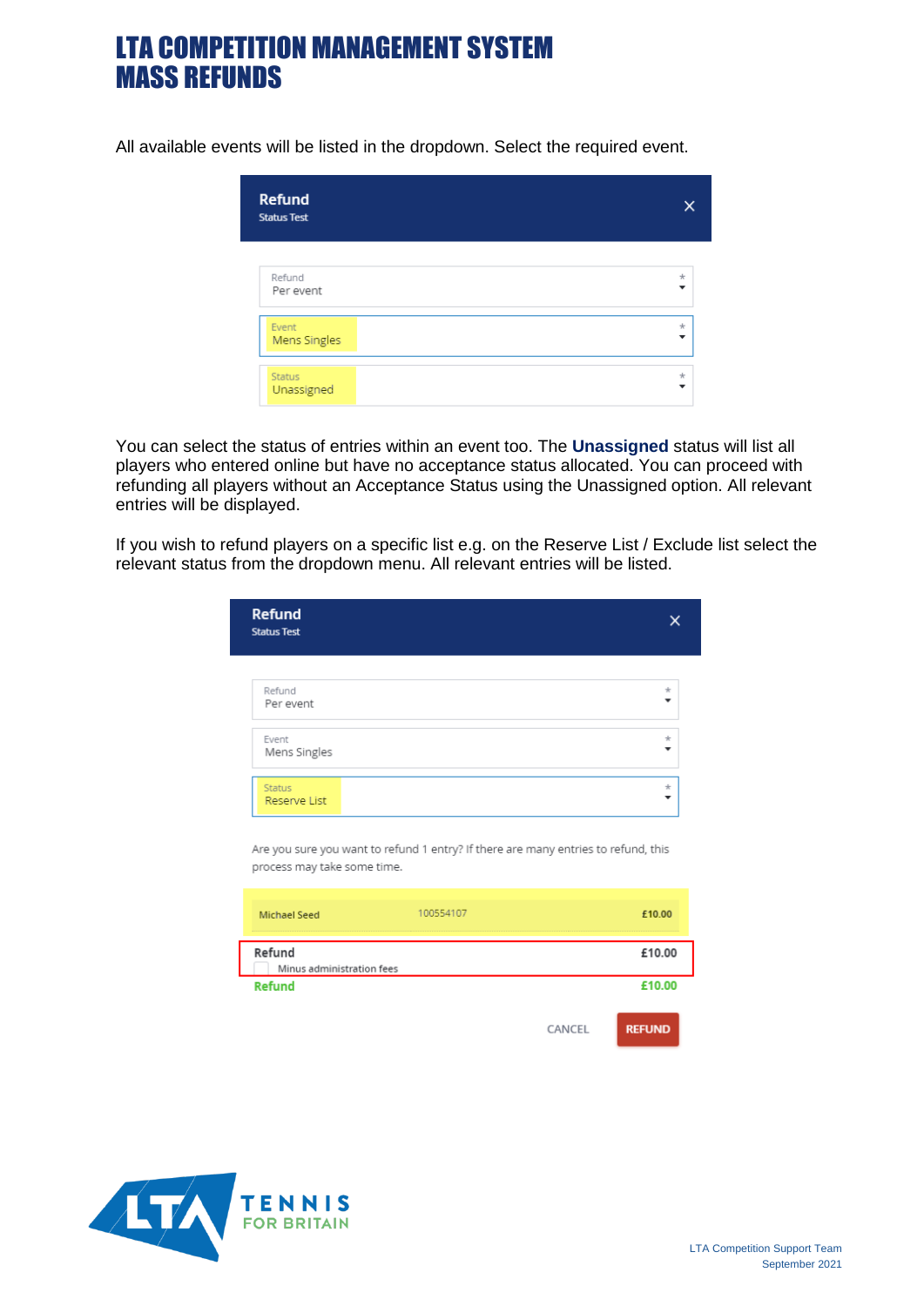All available events will be listed in the dropdown. Select the required event.

| <b>Refund</b><br><b>Status Test</b> |                          |
|-------------------------------------|--------------------------|
| Refund                              | $\pm$                    |
| Per event                           | $\overline{\phantom{a}}$ |
| Event                               | $\star$                  |
| Mens Singles                        | $\overline{\phantom{a}}$ |
| <b>Status</b>                       | $\star$                  |
| Unassigned                          | ٠                        |

You can select the status of entries within an event too. The **Unassigned** status will list all players who entered online but have no acceptance status allocated. You can proceed with refunding all players without an Acceptance Status using the Unassigned option. All relevant entries will be displayed.

If you wish to refund players on a specific list e.g. on the Reserve List / Exclude list select the relevant status from the dropdown menu. All relevant entries will be listed.

| <b>Refund</b><br><b>Status Test</b> |                          |
|-------------------------------------|--------------------------|
| Refund                              | $\star$                  |
| Per event                           | $\overline{\phantom{a}}$ |
| Event                               | $\star$                  |
| Mens Singles                        | $\overline{\phantom{a}}$ |
| <b>Status</b>                       | $\star$                  |
| Reserve List                        | $\overline{\phantom{a}}$ |

Are you sure you want to refund 1 entry? If there are many entries to refund, this process may take some time.

| <b>Michael Seed</b>                 | 100554107 |        | £10.00        |
|-------------------------------------|-----------|--------|---------------|
| Refund<br>Minus administration fees |           |        | £10.00        |
| <b>Refund</b>                       |           |        | £10.00        |
|                                     |           | CANCEL | <b>REFUND</b> |

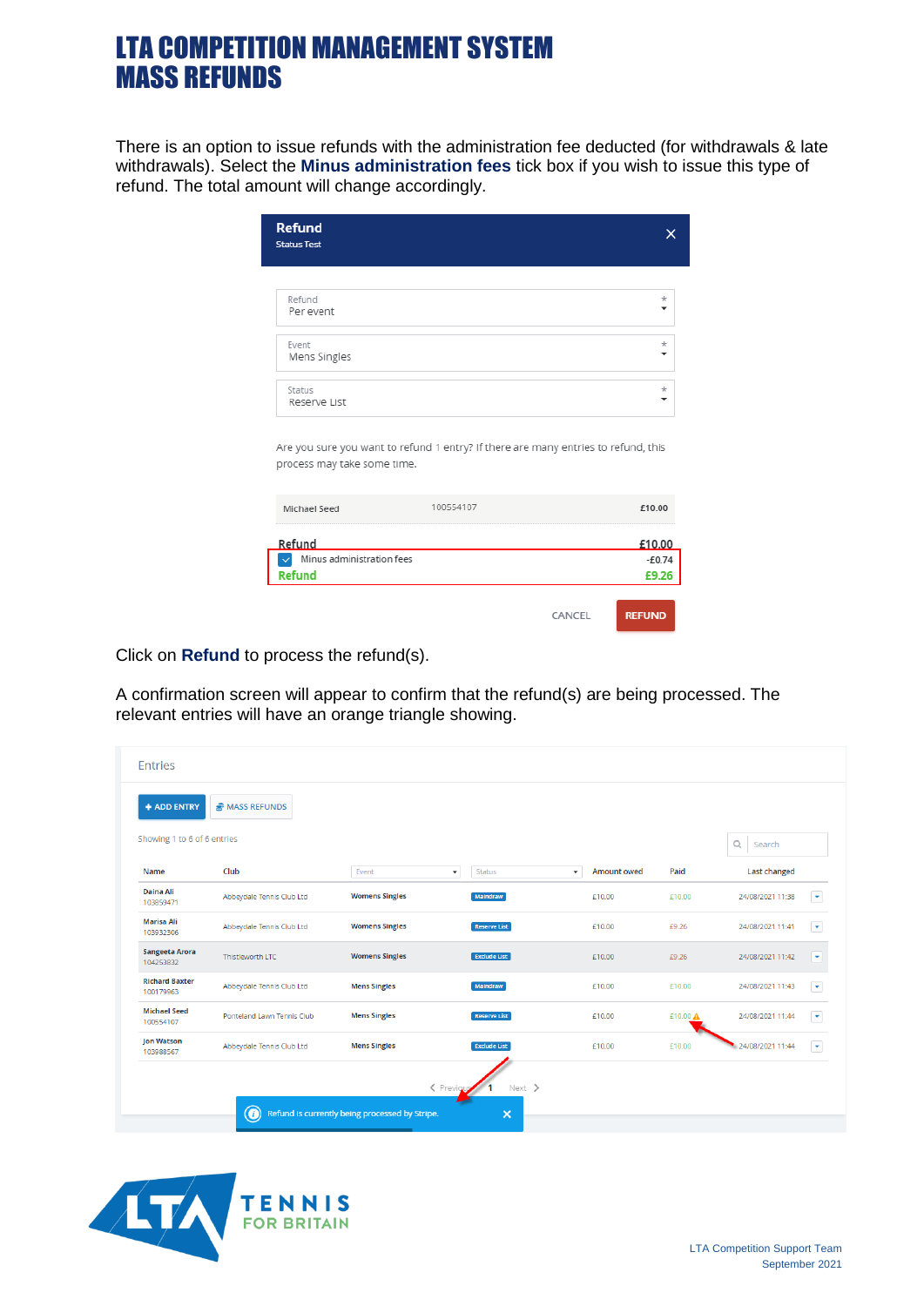There is an option to issue refunds with the administration fee deducted (for withdrawals & late withdrawals). Select the **Minus administration fees** tick box if you wish to issue this type of refund. The total amount will change accordingly.

| <b>Refund</b><br><b>Status Test</b> |                                                                                    | ×                  |
|-------------------------------------|------------------------------------------------------------------------------------|--------------------|
| Refund<br>Per event                 |                                                                                    | $\star$            |
| Event<br>Mens Singles               |                                                                                    | $\star$            |
|                                     |                                                                                    | $\star$            |
| Status<br>Reserve List              |                                                                                    | -                  |
| process may take some time.         | Are you sure you want to refund 1 entry? If there are many entries to refund, this |                    |
| Michael Seed                        | 100554107                                                                          | £10.00             |
| Refund<br>Minus administration fees |                                                                                    | £10.00<br>$-E0.74$ |

Click on **Refund** to process the refund(s).

A confirmation screen will appear to confirm that the refund(s) are being processed. The relevant entries will have an orange triangle showing.

|                                    | MASS REFUNDS               |                       |                                           |                                         |          |                     |                          |
|------------------------------------|----------------------------|-----------------------|-------------------------------------------|-----------------------------------------|----------|---------------------|--------------------------|
| Showing 1 to 6 of 6 entries        |                            |                       |                                           |                                         |          | Q<br>Search         |                          |
| Name                               | Club                       | Event                 | <b>Status</b><br>$\overline{\phantom{a}}$ | Amount owed<br>$\overline{\phantom{a}}$ | Paid     | <b>Last changed</b> |                          |
| <b>Daina Ali</b><br>103859471      | Abbeydale Tennis Club Ltd  | <b>Womens Singles</b> | Maindraw                                  | £10.00                                  | £10.00   | 24/08/2021 11:38    | $\overline{\phantom{0}}$ |
| <b>Marisa Ali</b><br>103932306     | Abbeydale Tennis Club Ltd  | <b>Womens Singles</b> | <b>Reserve List</b>                       | £10.00                                  | £9.26    | 24/08/2021 11:41    | $\bullet$                |
| <b>Sangeeta Arora</b><br>104253832 | Thistleworth LTC           | <b>Womens Singles</b> | <b>Exclude List</b>                       | £10.00                                  | £9.26    | 24/08/2021 11:42    | ٠                        |
| <b>Richard Baxter</b><br>100179963 | Abbeydale Tennis Club Ltd  | <b>Mens Singles</b>   | Maindraw                                  | £10.00                                  | £10.00   | 24/08/2021 11:43    | $\overline{\phantom{a}}$ |
| <b>Michael Seed</b><br>100554107   | Ponteland Lawn Tennis Club | <b>Mens Singles</b>   | <b>Reserve List</b>                       | £10.00                                  | £10.00 A | 24/08/2021 11:44    | $\blacktriangledown$     |
| <b>Jon Watson</b><br>103988567     | Abbeydale Tennis Club Ltd  | <b>Mens Singles</b>   | <b>Exclude List</b>                       | £10.00                                  | £10.00   | 24/08/2021 11:44    | $\overline{\phantom{a}}$ |